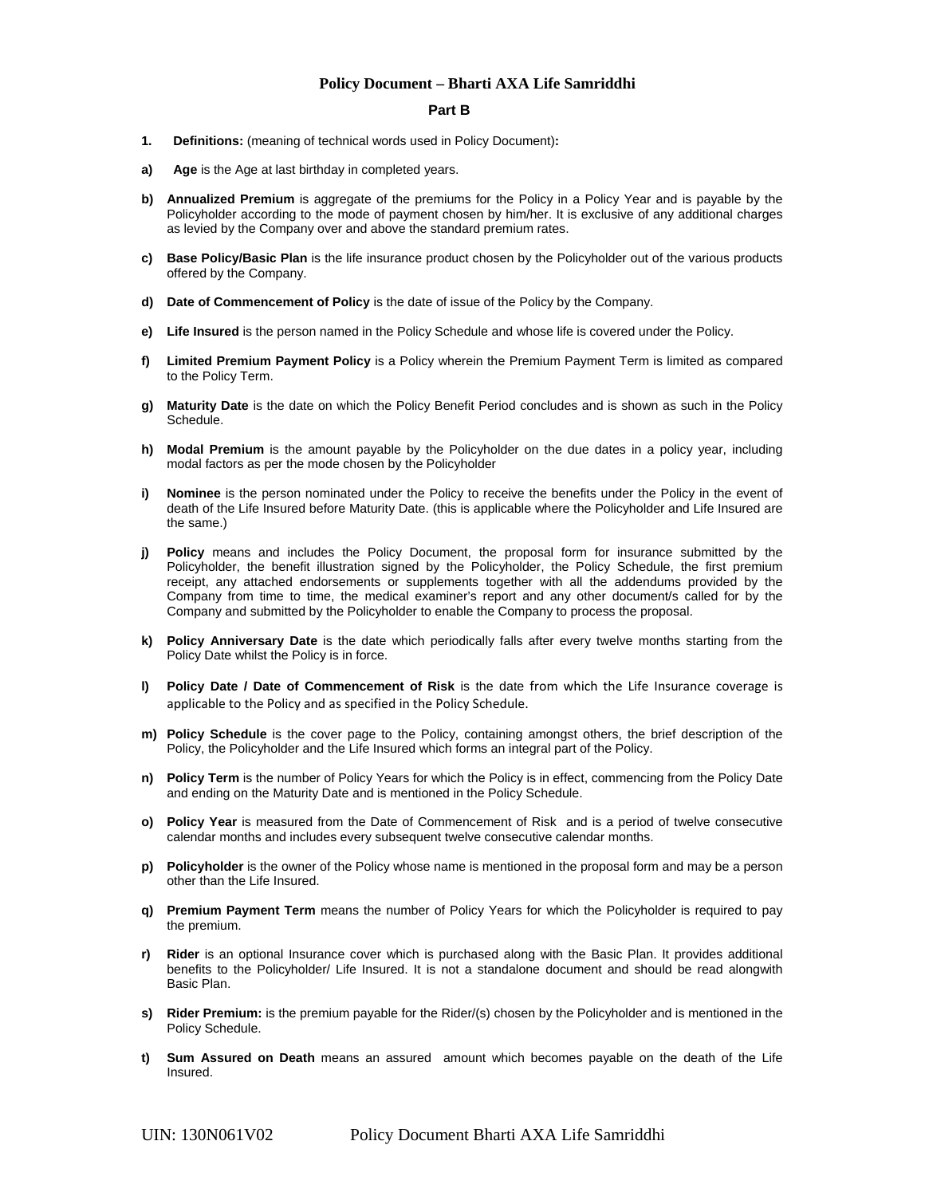#### **Part B**

- **1. Definitions:** (meaning of technical words used in Policy Document)**:**
- **a)** Age is the Age at last birthday in completed years.
- **b)** Annualized Premium is aggregate of the premiums for the Policy in a Policy Year and is payable by the Policyholder according to the mode of payment chosen by him/her. It is exclusive of any additional charges as levied by the Company over and above the standard premium rates.
- **c) Base Policy/Basic Plan** is the life insurance product chosen by the Policyholder out of the various products offered by the Company.
- **d) Date of Commencement of Policy** is the date of issue of the Policy by the Company.
- **e) Life Insured** is the person named in the Policy Schedule and whose life is covered under the Policy.
- **f) Limited Premium Payment Policy** is a Policy wherein the Premium Payment Term is limited as compared to the Policy Term.
- **g) Maturity Date** is the date on which the Policy Benefit Period concludes and is shown as such in the Policy Schedule.
- **h) Modal Premium** is the amount payable by the Policyholder on the due dates in a policy year, including modal factors as per the mode chosen by the Policyholder
- **i) Nominee** is the person nominated under the Policy to receive the benefits under the Policy in the event of death of the Life Insured before Maturity Date. (this is applicable where the Policyholder and Life Insured are the same.)
- **j) Policy** means and includes the Policy Document, the proposal form for insurance submitted by the Policyholder, the benefit illustration signed by the Policyholder, the Policy Schedule, the first premium receipt, any attached endorsements or supplements together with all the addendums provided by the Company from time to time, the medical examiner's report and any other document/s called for by the Company and submitted by the Policyholder to enable the Company to process the proposal.
- **k) Policy Anniversary Date** is the date which periodically falls after every twelve months starting from the Policy Date whilst the Policy is in force.
- **l) Policy Date / Date of Commencement of Risk** is the date from which the Life Insurance coverage is applicable to the Policy and as specified in the Policy Schedule.
- **m) Policy Schedule** is the cover page to the Policy, containing amongst others, the brief description of the Policy, the Policyholder and the Life Insured which forms an integral part of the Policy.
- **n) Policy Term** is the number of Policy Years for which the Policy is in effect, commencing from the Policy Date and ending on the Maturity Date and is mentioned in the Policy Schedule.
- **o) Policy Year** is measured from the Date of Commencement of Risk and is a period of twelve consecutive calendar months and includes every subsequent twelve consecutive calendar months.
- **p)** Policyholder is the owner of the Policy whose name is mentioned in the proposal form and may be a person other than the Life Insured.
- **q) Premium Payment Term** means the number of Policy Years for which the Policyholder is required to pay the premium.
- **r) Rider** is an optional Insurance cover which is purchased along with the Basic Plan. It provides additional benefits to the Policyholder/ Life Insured. It is not a standalone document and should be read alongwith Basic Plan.
- **s) Rider Premium:** is the premium payable for the Rider/(s) chosen by the Policyholder and is mentioned in the Policy Schedule.
- **t) Sum Assured on Death** means an assured amount which becomes payable on the death of the Life Insured.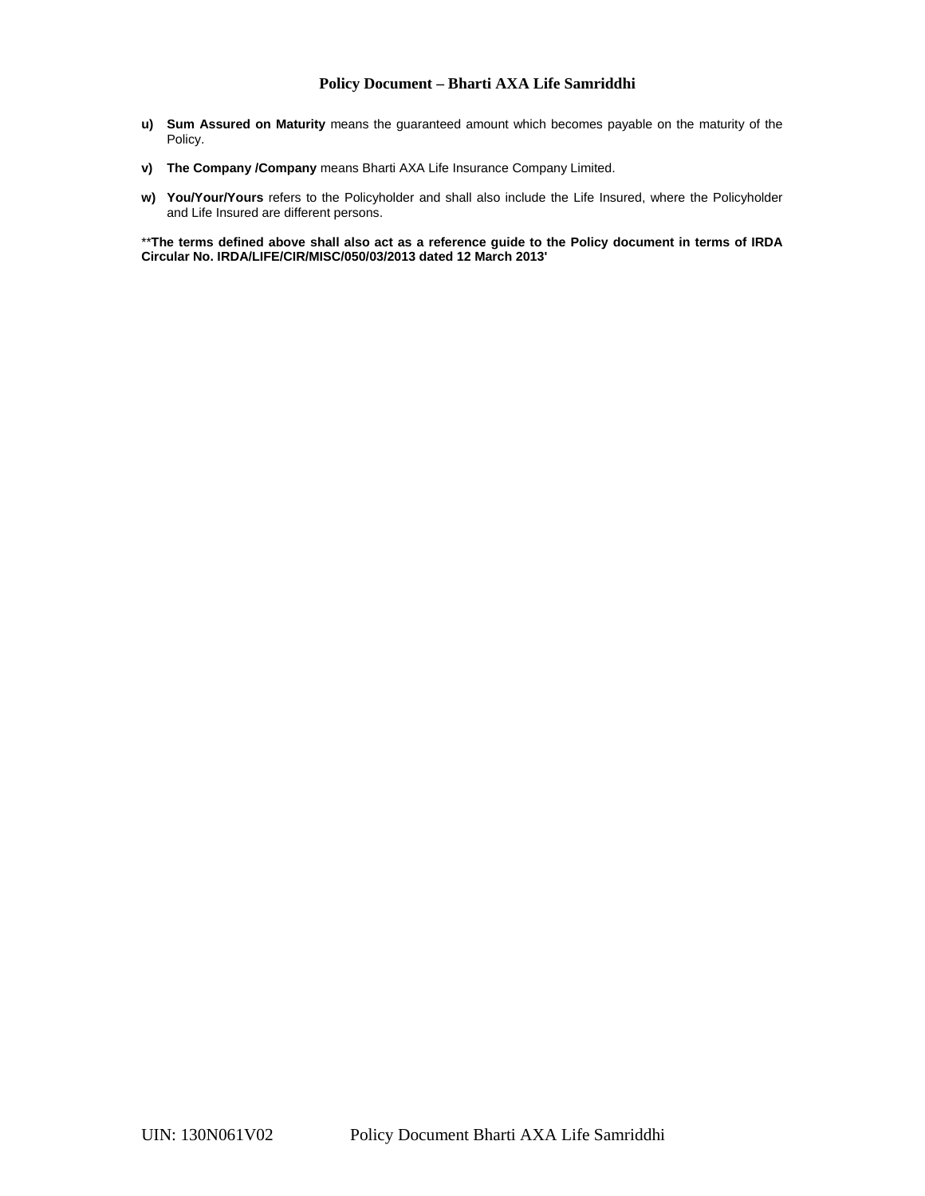- **u) Sum Assured on Maturity** means the guaranteed amount which becomes payable on the maturity of the Policy.
- **v) The Company /Company** means Bharti AXA Life Insurance Company Limited.
- **w) You/Your/Yours** refers to the Policyholder and shall also include the Life Insured, where the Policyholder and Life Insured are different persons.

\*\***The terms defined above shall also act as a reference guide to the Policy document in terms of IRDA Circular No. IRDA/LIFE/CIR/MISC/050/03/2013 dated 12 March 2013'**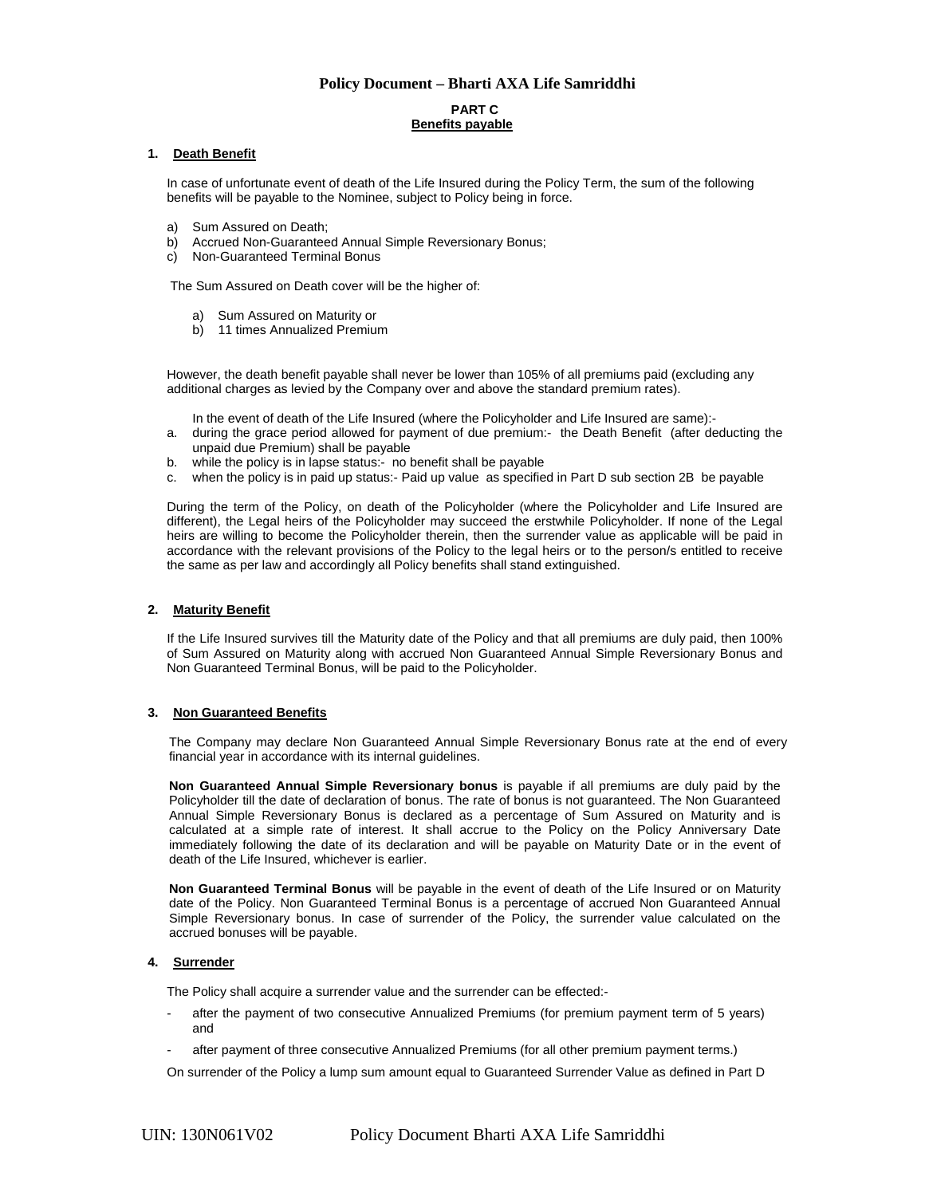## **PART C Benefits payable**

### **1. Death Benefit**

In case of unfortunate event of death of the Life Insured during the Policy Term, the sum of the following benefits will be payable to the Nominee, subject to Policy being in force.

- a) Sum Assured on Death;
- b) Accrued Non-Guaranteed Annual Simple Reversionary Bonus;
- c) Non-Guaranteed Terminal Bonus

The Sum Assured on Death cover will be the higher of:

- a) Sum Assured on Maturity or
- b) 11 times Annualized Premium

However, the death benefit payable shall never be lower than 105% of all premiums paid (excluding any additional charges as levied by the Company over and above the standard premium rates).

In the event of death of the Life Insured (where the Policyholder and Life Insured are same):-

- a. during the grace period allowed for payment of due premium:- the Death Benefit (after deducting the unpaid due Premium) shall be payable
- b. while the policy is in lapse status:- no benefit shall be payable
- c. when the policy is in paid up status:- Paid up value as specified in Part D sub section 2B be payable

During the term of the Policy, on death of the Policyholder (where the Policyholder and Life Insured are different), the Legal heirs of the Policyholder may succeed the erstwhile Policyholder. If none of the Legal heirs are willing to become the Policyholder therein, then the surrender value as applicable will be paid in accordance with the relevant provisions of the Policy to the legal heirs or to the person/s entitled to receive the same as per law and accordingly all Policy benefits shall stand extinguished.

## **2. Maturity Benefit**

If the Life Insured survives till the Maturity date of the Policy and that all premiums are duly paid, then 100% of Sum Assured on Maturity along with accrued Non Guaranteed Annual Simple Reversionary Bonus and Non Guaranteed Terminal Bonus, will be paid to the Policyholder.

#### **3. Non Guaranteed Benefits**

The Company may declare Non Guaranteed Annual Simple Reversionary Bonus rate at the end of every financial year in accordance with its internal guidelines.

**Non Guaranteed Annual Simple Reversionary bonus** is payable if all premiums are duly paid by the Policyholder till the date of declaration of bonus. The rate of bonus is not guaranteed. The Non Guaranteed Annual Simple Reversionary Bonus is declared as a percentage of Sum Assured on Maturity and is calculated at a simple rate of interest. It shall accrue to the Policy on the Policy Anniversary Date immediately following the date of its declaration and will be payable on Maturity Date or in the event of death of the Life Insured, whichever is earlier.

**Non Guaranteed Terminal Bonus** will be payable in the event of death of the Life Insured or on Maturity date of the Policy. Non Guaranteed Terminal Bonus is a percentage of accrued Non Guaranteed Annual Simple Reversionary bonus. In case of surrender of the Policy, the surrender value calculated on the accrued bonuses will be payable.

## **4. Surrender**

The Policy shall acquire a surrender value and the surrender can be effected:-

- after the payment of two consecutive Annualized Premiums (for premium payment term of 5 years) and
- after payment of three consecutive Annualized Premiums (for all other premium payment terms.)

On surrender of the Policy a lump sum amount equal to Guaranteed Surrender Value as defined in Part D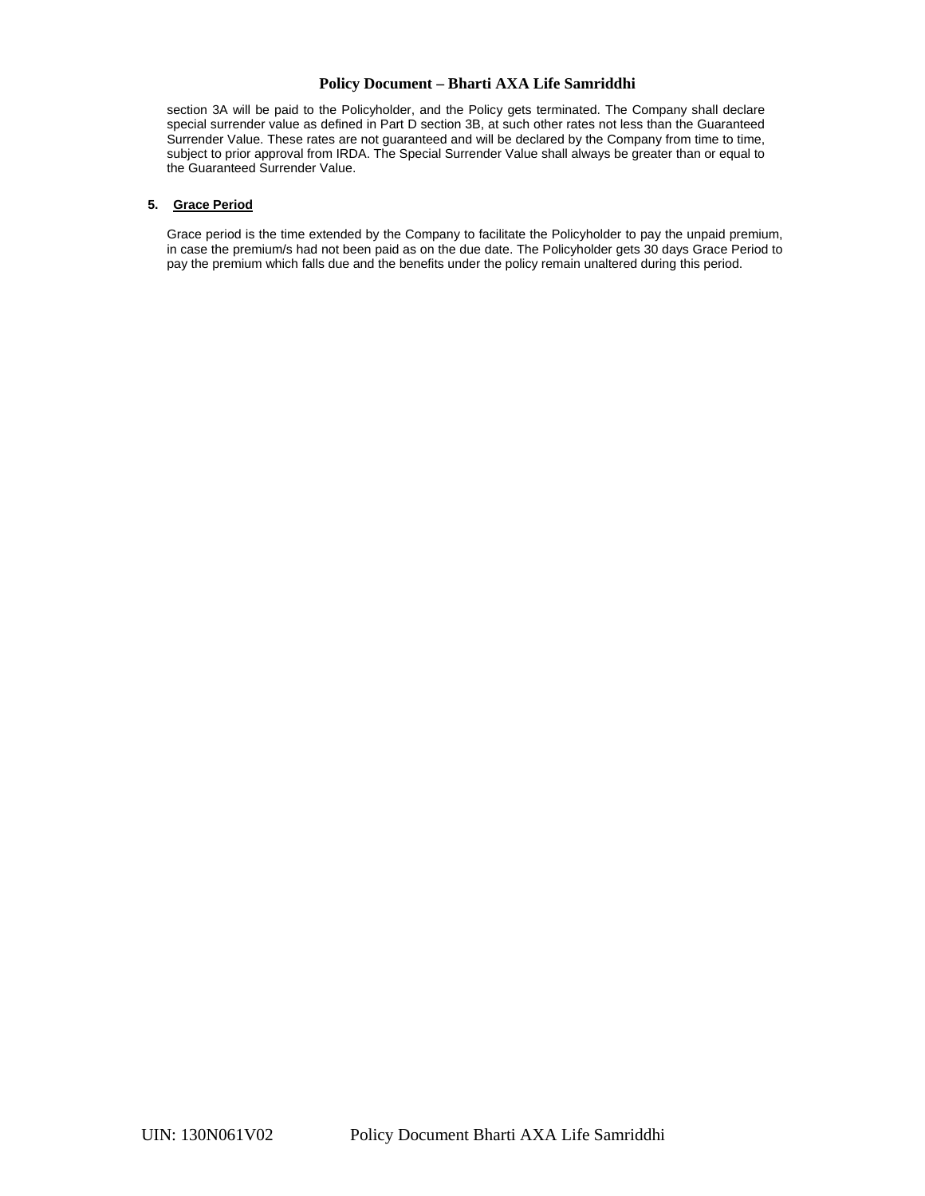section 3A will be paid to the Policyholder, and the Policy gets terminated. The Company shall declare special surrender value as defined in Part D section 3B, at such other rates not less than the Guaranteed Surrender Value. These rates are not guaranteed and will be declared by the Company from time to time, subject to prior approval from IRDA. The Special Surrender Value shall always be greater than or equal to the Guaranteed Surrender Value.

### **5. Grace Period**

Grace period is the time extended by the Company to facilitate the Policyholder to pay the unpaid premium, in case the premium/s had not been paid as on the due date. The Policyholder gets 30 days Grace Period to pay the premium which falls due and the benefits under the policy remain unaltered during this period.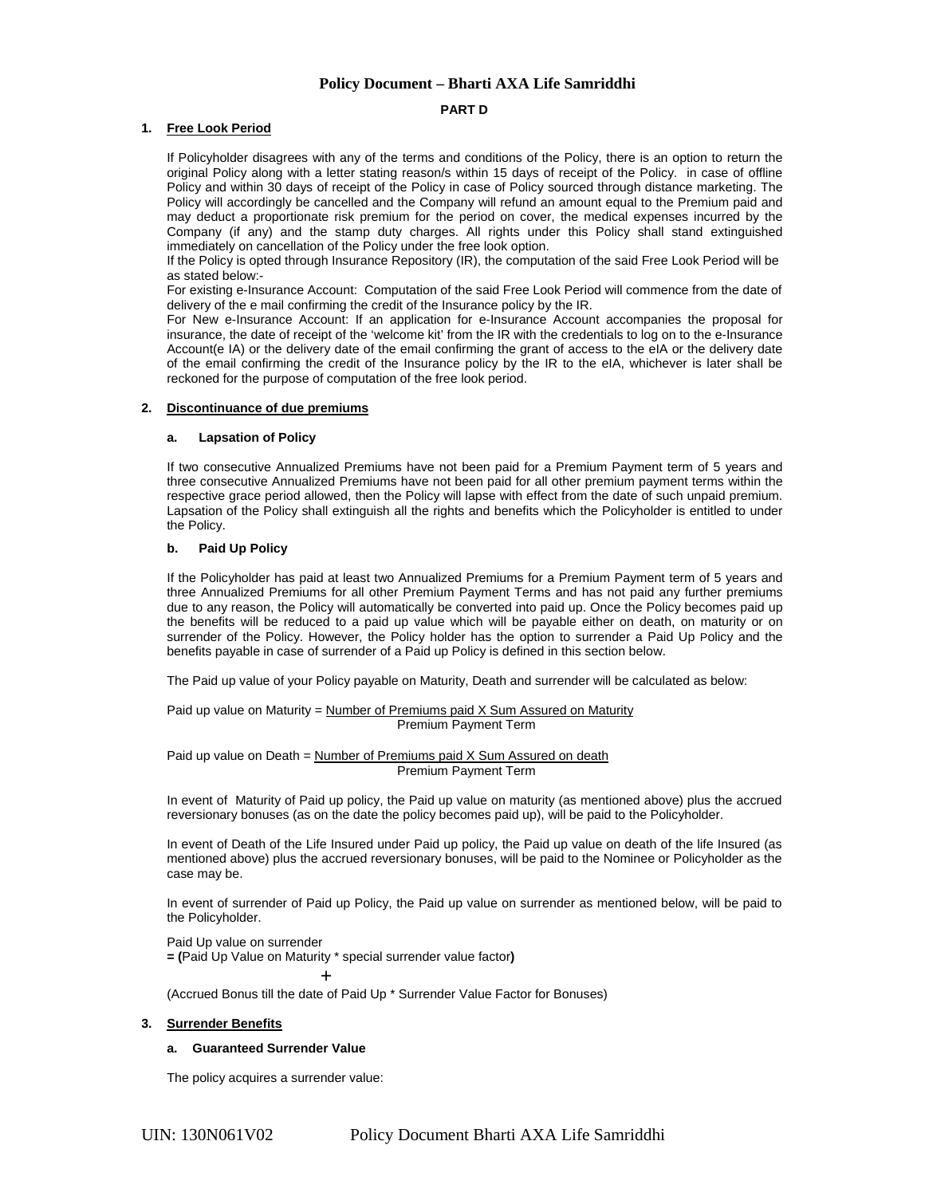#### **PART D**

### **1. Free Look Period**

If Policyholder disagrees with any of the terms and conditions of the Policy, there is an option to return the original Policy along with a letter stating reason/s within 15 days of receipt of the Policy. in case of offline Policy and within 30 days of receipt of the Policy in case of Policy sourced through distance marketing. The Policy will accordingly be cancelled and the Company will refund an amount equal to the Premium paid and may deduct a proportionate risk premium for the period on cover, the medical expenses incurred by the Company (if any) and the stamp duty charges. All rights under this Policy shall stand extinguished immediately on cancellation of the Policy under the free look option.

If the Policy is opted through Insurance Repository (IR), the computation of the said Free Look Period will be as stated below:-

For existing e-Insurance Account: Computation of the said Free Look Period will commence from the date of delivery of the e mail confirming the credit of the Insurance policy by the IR.

For New e-Insurance Account: If an application for e-Insurance Account accompanies the proposal for insurance, the date of receipt of the 'welcome kit' from the IR with the credentials to log on to the e-Insurance Account(e IA) or the delivery date of the email confirming the grant of access to the eIA or the delivery date of the email confirming the credit of the Insurance policy by the IR to the eIA, whichever is later shall be reckoned for the purpose of computation of the free look period.

### **2. Discontinuance of due premiums**

#### **a. Lapsation of Policy**

If two consecutive Annualized Premiums have not been paid for a Premium Payment term of 5 years and three consecutive Annualized Premiums have not been paid for all other premium payment terms within the respective grace period allowed, then the Policy will lapse with effect from the date of such unpaid premium. Lapsation of the Policy shall extinguish all the rights and benefits which the Policyholder is entitled to under the Policy.

### **b. Paid Up Policy**

If the Policyholder has paid at least two Annualized Premiums for a Premium Payment term of 5 years and three Annualized Premiums for all other Premium Payment Terms and has not paid any further premiums due to any reason, the Policy will automatically be converted into paid up. Once the Policy becomes paid up the benefits will be reduced to a paid up value which will be payable either on death, on maturity or on surrender of the Policy. However, the Policy holder has the option to surrender a Paid Up Policy and the benefits payable in case of surrender of a Paid up Policy is defined in this section below.

The Paid up value of your Policy payable on Maturity, Death and surrender will be calculated as below:

#### Paid up value on Maturity = Number of Premiums paid  $X$  Sum Assured on Maturity Premium Payment Term

Paid up value on Death =  $Number of Preminus paid X Sum Assured on death$ Premium Payment Term

In event of Maturity of Paid up policy, the Paid up value on maturity (as mentioned above) plus the accrued reversionary bonuses (as on the date the policy becomes paid up), will be paid to the Policyholder.

In event of Death of the Life Insured under Paid up policy, the Paid up value on death of the life Insured (as mentioned above) plus the accrued reversionary bonuses, will be paid to the Nominee or Policyholder as the case may be.

In event of surrender of Paid up Policy, the Paid up value on surrender as mentioned below, will be paid to the Policyholder.

Paid Up value on surrender **= (**Paid Up Value on Maturity \* special surrender value factor**)**

+

(Accrued Bonus till the date of Paid Up \* Surrender Value Factor for Bonuses)

## **3. Surrender Benefits**

### **a. Guaranteed Surrender Value**

The policy acquires a surrender value: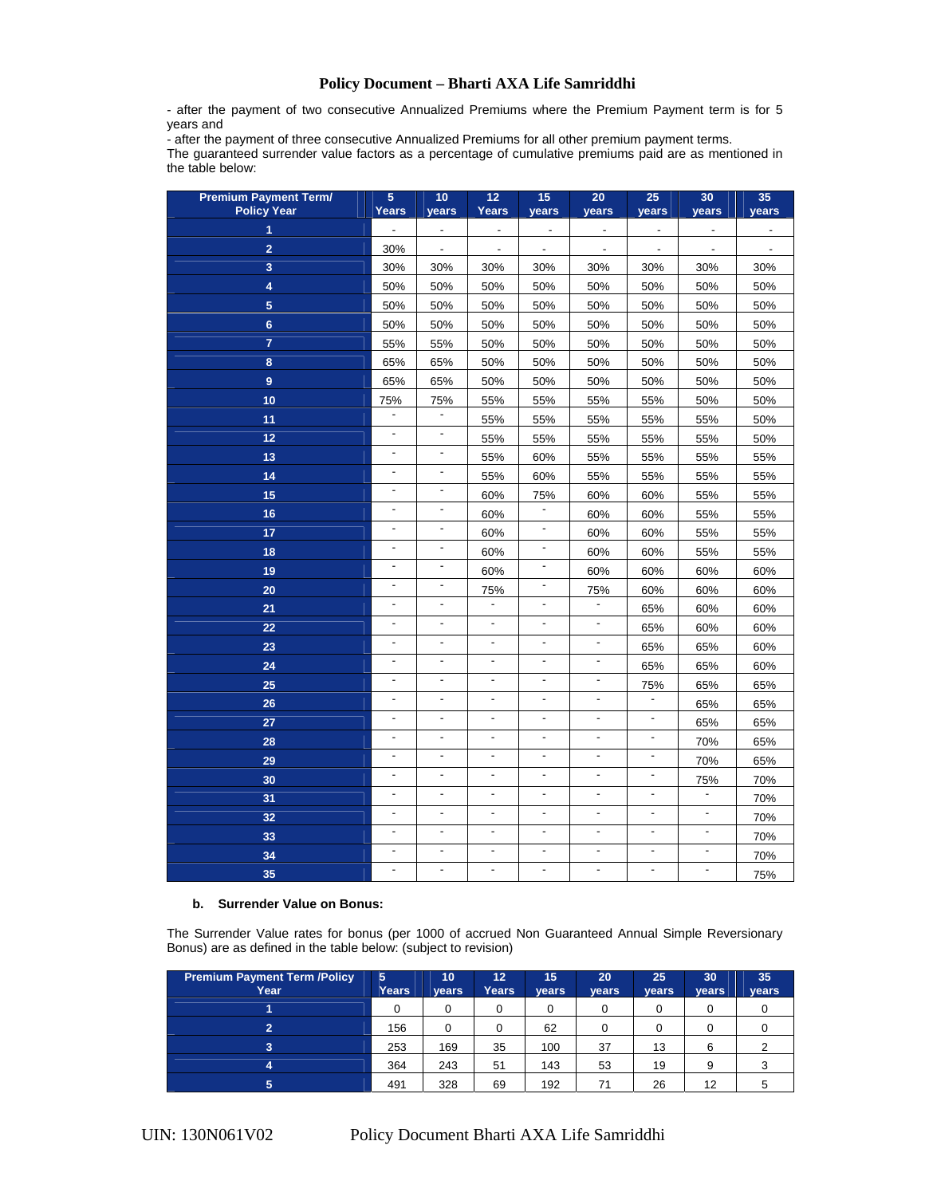- after the payment of two consecutive Annualized Premiums where the Premium Payment term is for 5 years and

- after the payment of three consecutive Annualized Premiums for all other premium payment terms. The guaranteed surrender value factors as a percentage of cumulative premiums paid are as mentioned in the table below:

| <b>Premium Payment Term/</b><br><b>Policy Year</b> | 5<br><b>Years</b>            | 10<br>years              | 12<br><b>Years</b>       | 15<br>years              | 20<br>years              | 25<br>years              | 30<br>years              | 35<br>years    |
|----------------------------------------------------|------------------------------|--------------------------|--------------------------|--------------------------|--------------------------|--------------------------|--------------------------|----------------|
| 1                                                  | $\overline{a}$               | $\overline{\phantom{a}}$ | $\overline{\phantom{a}}$ | $\overline{\phantom{a}}$ | $\overline{\phantom{a}}$ | $\overline{\phantom{a}}$ | $\blacksquare$           |                |
| $\overline{2}$                                     | 30%                          | $\overline{\phantom{a}}$ | $\blacksquare$           | $\overline{\phantom{a}}$ | $\blacksquare$           | $\overline{\phantom{a}}$ | $\overline{\phantom{a}}$ | $\blacksquare$ |
| 3                                                  | 30%                          | 30%                      | 30%                      | 30%                      | 30%                      | 30%                      | 30%                      | 30%            |
| 4                                                  | 50%                          | 50%                      | 50%                      | 50%                      | 50%                      | 50%                      | 50%                      | 50%            |
| $\overline{5}$                                     | 50%                          | 50%                      | 50%                      | 50%                      | 50%                      | 50%                      | 50%                      | 50%            |
| $6\phantom{a}$                                     | 50%                          | 50%                      | 50%                      | 50%                      | 50%                      | 50%                      | 50%                      | 50%            |
| $\overline{7}$                                     | 55%                          | 55%                      | 50%                      | 50%                      | 50%                      | 50%                      | 50%                      | 50%            |
| 8                                                  | 65%                          | 65%                      | 50%                      | 50%                      | 50%                      | 50%                      | 50%                      | 50%            |
| $\overline{9}$                                     | 65%                          | 65%                      | 50%                      | 50%                      | 50%                      | 50%                      | 50%                      | 50%            |
| 10                                                 | 75%                          | 75%                      | 55%                      | 55%                      | 55%                      | 55%                      | 50%                      | 50%            |
| 11                                                 | $\blacksquare$               | $\frac{1}{2}$            | 55%                      | 55%                      | 55%                      | 55%                      | 55%                      | 50%            |
| 12                                                 | $\blacksquare$               | ÷,                       | 55%                      | 55%                      | 55%                      | 55%                      | 55%                      | 50%            |
| 13                                                 | $\overline{\phantom{a}}$     | $\overline{\phantom{a}}$ | 55%                      | 60%                      | 55%                      | 55%                      | 55%                      | 55%            |
| 14                                                 | $\blacksquare$               | $\overline{\phantom{a}}$ | 55%                      | 60%                      | 55%                      | 55%                      | 55%                      | 55%            |
| 15                                                 | $\blacksquare$               | $\overline{\phantom{a}}$ | 60%                      | 75%                      | 60%                      | 60%                      | 55%                      | 55%            |
| 16                                                 | $\overline{\phantom{a}}$     | $\overline{a}$           | 60%                      | $\overline{\phantom{a}}$ | 60%                      | 60%                      | 55%                      | 55%            |
| 17                                                 | $\overline{a}$               | $\overline{a}$           | 60%                      | $\overline{a}$           | 60%                      | 60%                      | 55%                      | 55%            |
| 18                                                 | $\overline{\phantom{a}}$     | $\blacksquare$           | 60%                      | $\overline{a}$           | 60%                      | 60%                      | 55%                      | 55%            |
| 19                                                 | $\overline{a}$               | $\overline{\phantom{a}}$ | 60%                      | $\overline{\phantom{a}}$ | 60%                      | 60%                      | 60%                      | 60%            |
| 20                                                 | $\overline{a}$               | $\overline{\phantom{a}}$ | 75%                      | $\overline{a}$           | 75%                      | 60%                      | 60%                      | 60%            |
| 21                                                 | ÷,                           |                          | $\overline{a}$           | $\overline{a}$           |                          | 65%                      | 60%                      | 60%            |
| 22                                                 | $\frac{1}{2}$                |                          | $\frac{1}{2}$            |                          |                          | 65%                      | 60%                      | 60%            |
| 23                                                 | $\frac{1}{2}$                | $\frac{1}{2}$            | $\frac{1}{2}$            | $\overline{a}$           | $\overline{\phantom{a}}$ | 65%                      | 65%                      | 60%            |
| 24                                                 | $\overline{a}$               | $\overline{a}$           | $\frac{1}{2}$            | $\overline{a}$           | $\blacksquare$           | 65%                      | 65%                      | 60%            |
| 25                                                 | L.                           | ÷,                       | $\overline{a}$           | $\blacksquare$           | $\overline{\phantom{a}}$ | 75%                      | 65%                      | 65%            |
| 26                                                 | $\overline{a}$               | ÷,                       | $\overline{a}$           | ä,                       | ä,                       |                          | 65%                      | 65%            |
| 27                                                 | $\frac{1}{2}$                | $\frac{1}{2}$            | $\frac{1}{2}$            | $\overline{a}$           | $\overline{\phantom{a}}$ | $\overline{\phantom{a}}$ | 65%                      | 65%            |
| 28                                                 | $\qquad \qquad \blacksquare$ | $\overline{\phantom{a}}$ | $\overline{\phantom{a}}$ | $\overline{\phantom{a}}$ | $\overline{\phantom{a}}$ | $\overline{\phantom{a}}$ | 70%                      | 65%            |
| 29                                                 | $\overline{\phantom{a}}$     | $\overline{\phantom{a}}$ | $\blacksquare$           | $\blacksquare$           | $\blacksquare$           | $\blacksquare$           | 70%                      | 65%            |
| 30                                                 | $\blacksquare$               | $\overline{\phantom{a}}$ | $\frac{1}{2}$            | ä,                       | ä,                       | $\blacksquare$           | 75%                      | 70%            |
| 31                                                 | ÷,                           | $\overline{a}$           | $\overline{a}$           | $\overline{a}$           | ä,                       | $\overline{\phantom{a}}$ | $\blacksquare$           | 70%            |
| 32                                                 | $\frac{1}{2}$                | $\frac{1}{2}$            | $\blacksquare$           | ä,                       | $\blacksquare$           | $\blacksquare$           | $\blacksquare$           | 70%            |
| 33                                                 | $\qquad \qquad \blacksquare$ | $\overline{\phantom{a}}$ | $\blacksquare$           | $\blacksquare$           | $\blacksquare$           | $\overline{\phantom{0}}$ | $\blacksquare$           | 70%            |
| 34                                                 | $\frac{1}{2}$                | $\overline{\phantom{a}}$ | $\overline{a}$           | $\overline{a}$           | ä,                       | $\overline{a}$           | $\overline{\phantom{a}}$ | 70%            |
| 35                                                 | $\frac{1}{2}$                | $\frac{1}{2}$            | $\overline{a}$           | $\blacksquare$           | $\overline{a}$           | $\overline{\phantom{a}}$ | ä,                       | 75%            |

#### **b. Surrender Value on Bonus:**

The Surrender Value rates for bonus (per 1000 of accrued Non Guaranteed Annual Simple Reversionary Bonus) are as defined in the table below: (subject to revision)

| <b>Premium Payment Term /Policy</b><br>Year | 5<br>Years | $10^{\circ}$<br>vears | 12 <sup>1</sup><br>Years | 15<br><b>vears</b> | 20<br>years | 25<br>vears | 30<br>years | 35<br>vears |
|---------------------------------------------|------------|-----------------------|--------------------------|--------------------|-------------|-------------|-------------|-------------|
|                                             | 0          |                       | 0                        | 0                  | 0           |             |             |             |
| 2                                           | 156        |                       | 0                        | 62                 |             |             |             |             |
| 3                                           | 253        | 169                   | 35                       | 100                | 37          | 13          | 6           |             |
| 4                                           | 364        | 243                   | 51                       | 143                | 53          | 19          | 9           | J           |
| 5                                           | 491        | 328                   | 69                       | 192                | 71          | 26          | 12          |             |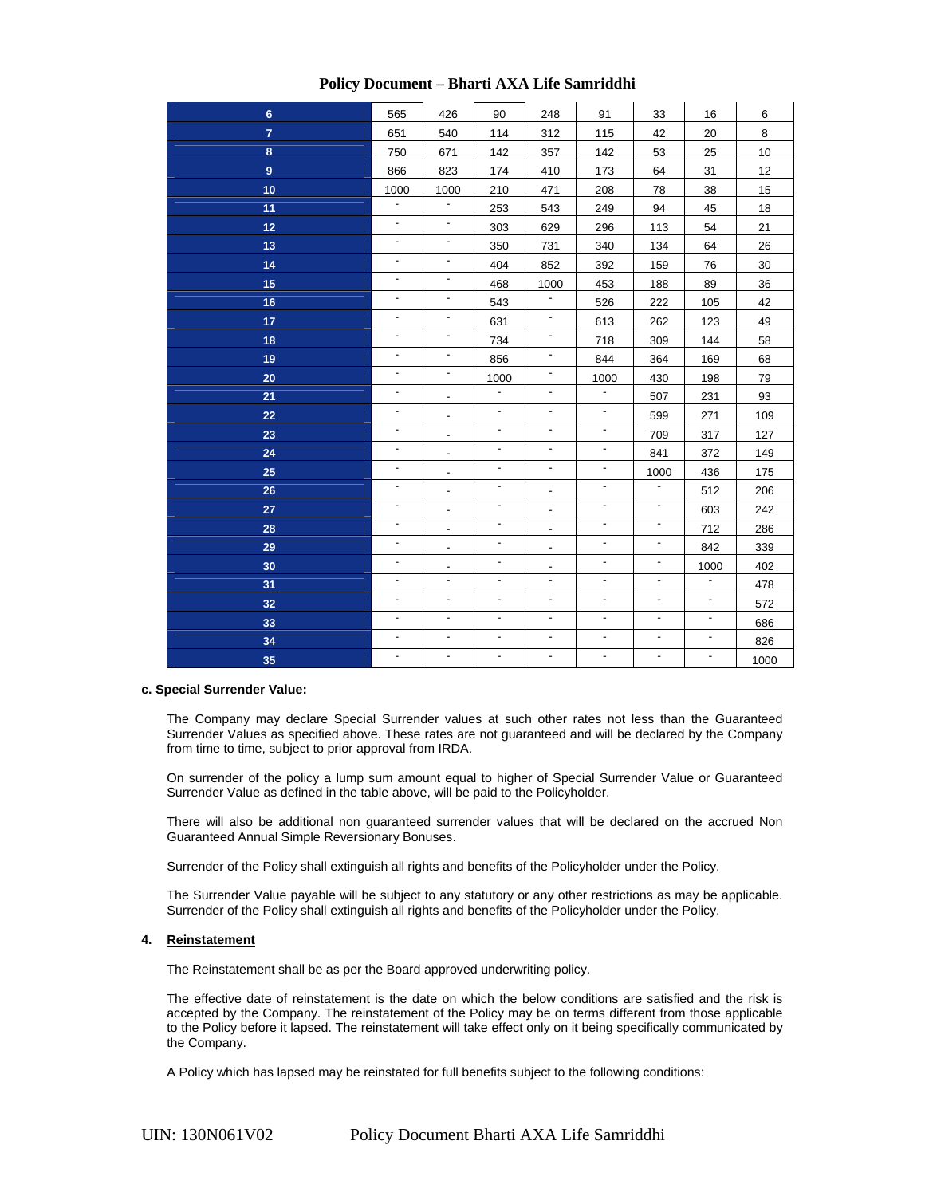| 565                      | 426                      | 90                       | 248                      | 91                              | 33                       | 16                       | 6    |
|--------------------------|--------------------------|--------------------------|--------------------------|---------------------------------|--------------------------|--------------------------|------|
| 651                      | 540                      | 114                      | 312                      | 115                             | 42                       | 20                       | 8    |
| 750                      | 671                      | 142                      | 357                      | 142                             | 53                       | 25                       | 10   |
| 866                      | 823                      | 174                      | 410                      | 173                             | 64                       | 31                       | 12   |
| 1000                     | 1000                     | 210                      | 471                      | 208                             | 78                       | 38                       | 15   |
| $\blacksquare$           | $\overline{\phantom{a}}$ | 253                      | 543                      | 249                             | 94                       | 45                       | 18   |
| $\blacksquare$           | $\overline{\phantom{a}}$ | 303                      | 629                      | 296                             | 113                      | 54                       | 21   |
| $\blacksquare$           | $\overline{\phantom{a}}$ | 350                      | 731                      | 340                             | 134                      | 64                       | 26   |
| $\overline{\phantom{a}}$ | $\overline{\phantom{a}}$ | 404                      | 852                      | 392                             | 159                      | 76                       | 30   |
| $\overline{\phantom{a}}$ | $\overline{\phantom{a}}$ | 468                      | 1000                     | 453                             | 188                      | 89                       | 36   |
| $\overline{\phantom{a}}$ | $\overline{\phantom{a}}$ | 543                      | $\overline{\phantom{a}}$ | 526                             | 222                      | 105                      | 42   |
| $\overline{\phantom{a}}$ | $\overline{\phantom{a}}$ | 631                      | $\overline{\phantom{a}}$ | 613                             | 262                      | 123                      | 49   |
| $\overline{\phantom{a}}$ | $\overline{\phantom{a}}$ | 734                      | $\overline{\phantom{a}}$ | 718                             | 309                      | 144                      | 58   |
| $\overline{\phantom{a}}$ | $\overline{\phantom{a}}$ | 856                      | $\overline{\phantom{a}}$ | 844                             | 364                      | 169                      | 68   |
| $\overline{\phantom{a}}$ | $\overline{\phantom{a}}$ | 1000                     |                          | 1000                            | 430                      | 198                      | 79   |
| $\frac{1}{2}$            | $\overline{\phantom{a}}$ | $\overline{\phantom{a}}$ | $\overline{\phantom{a}}$ | $\overline{\phantom{a}}$        | 507                      | 231                      | 93   |
| $\overline{\phantom{a}}$ | $\overline{\phantom{a}}$ | $\overline{\phantom{a}}$ | $\overline{\phantom{a}}$ | $\blacksquare$                  | 599                      | 271                      | 109  |
| $\overline{\phantom{a}}$ | $\overline{\phantom{a}}$ | $\overline{\phantom{a}}$ | $\overline{\phantom{a}}$ | $\overline{\phantom{a}}$        | 709                      | 317                      | 127  |
| $\overline{\phantom{a}}$ | $\overline{\phantom{a}}$ | $\overline{\phantom{0}}$ | $\overline{\phantom{a}}$ | $\overline{\phantom{a}}$        | 841                      | 372                      | 149  |
| $\overline{\phantom{a}}$ | $\overline{\phantom{a}}$ | $\overline{\phantom{a}}$ | $\overline{\phantom{a}}$ | $\overline{\phantom{a}}$        | 1000                     | 436                      | 175  |
| $\overline{\phantom{a}}$ | ٠                        | $\overline{\phantom{a}}$ | $\overline{\phantom{a}}$ | $\overline{a}$                  | $\overline{\phantom{a}}$ | 512                      | 206  |
| $\overline{\phantom{a}}$ | $\overline{\phantom{a}}$ | $\overline{\phantom{a}}$ | $\overline{\phantom{a}}$ | $\blacksquare$                  | $\overline{\phantom{a}}$ | 603                      | 242  |
| $\overline{\phantom{a}}$ | ٠                        | $\overline{\phantom{a}}$ | $\overline{\phantom{a}}$ | $\blacksquare$                  | $\overline{\phantom{a}}$ | 712                      | 286  |
| $\overline{\phantom{a}}$ | $\overline{\phantom{a}}$ | $\overline{\phantom{a}}$ | $\overline{\phantom{a}}$ | $\overline{\phantom{a}}$        | $\overline{\phantom{a}}$ | 842                      | 339  |
| $\overline{\phantom{a}}$ | $\overline{\phantom{a}}$ | $\overline{\phantom{0}}$ | $\overline{\phantom{a}}$ | $\frac{1}{2}$                   | $\overline{\phantom{a}}$ | 1000                     | 402  |
| $\overline{\phantom{a}}$ | $\blacksquare$           | $\overline{\phantom{a}}$ | $\overline{\phantom{a}}$ | $\blacksquare$                  | $\overline{\phantom{a}}$ | $\blacksquare$           | 478  |
| $\overline{\phantom{a}}$ | $\mathbf{r}$             | $\blacksquare$           | $\blacksquare$           | $\overline{\phantom{a}}$        | $\blacksquare$           | $\blacksquare$           | 572  |
| $\overline{\phantom{a}}$ | $\blacksquare$           | $\overline{\phantom{a}}$ | $\overline{\phantom{a}}$ | $\overline{\phantom{a}}$        | $\overline{\phantom{a}}$ | $\overline{\phantom{a}}$ | 686  |
| $\overline{\phantom{a}}$ | $\overline{\phantom{a}}$ | $\overline{\phantom{a}}$ | $\blacksquare$           | $\overline{\phantom{a}}$        | $\overline{\phantom{a}}$ | $\overline{\phantom{a}}$ | 826  |
| $\overline{\phantom{a}}$ | $\overline{\phantom{a}}$ | $\overline{\phantom{a}}$ | $\overline{\phantom{a}}$ | $\centering \label{eq:reduced}$ | $\overline{\phantom{a}}$ | $\overline{\phantom{a}}$ | 1000 |
|                          |                          |                          |                          |                                 |                          |                          |      |

### **c. Special Surrender Value:**

The Company may declare Special Surrender values at such other rates not less than the Guaranteed Surrender Values as specified above. These rates are not guaranteed and will be declared by the Company from time to time, subject to prior approval from IRDA.

On surrender of the policy a lump sum amount equal to higher of Special Surrender Value or Guaranteed Surrender Value as defined in the table above, will be paid to the Policyholder.

There will also be additional non guaranteed surrender values that will be declared on the accrued Non Guaranteed Annual Simple Reversionary Bonuses.

Surrender of the Policy shall extinguish all rights and benefits of the Policyholder under the Policy.

The Surrender Value payable will be subject to any statutory or any other restrictions as may be applicable. Surrender of the Policy shall extinguish all rights and benefits of the Policyholder under the Policy.

## **4. Reinstatement**

The Reinstatement shall be as per the Board approved underwriting policy.

The effective date of reinstatement is the date on which the below conditions are satisfied and the risk is accepted by the Company. The reinstatement of the Policy may be on terms different from those applicable to the Policy before it lapsed. The reinstatement will take effect only on it being specifically communicated by the Company.

A Policy which has lapsed may be reinstated for full benefits subject to the following conditions: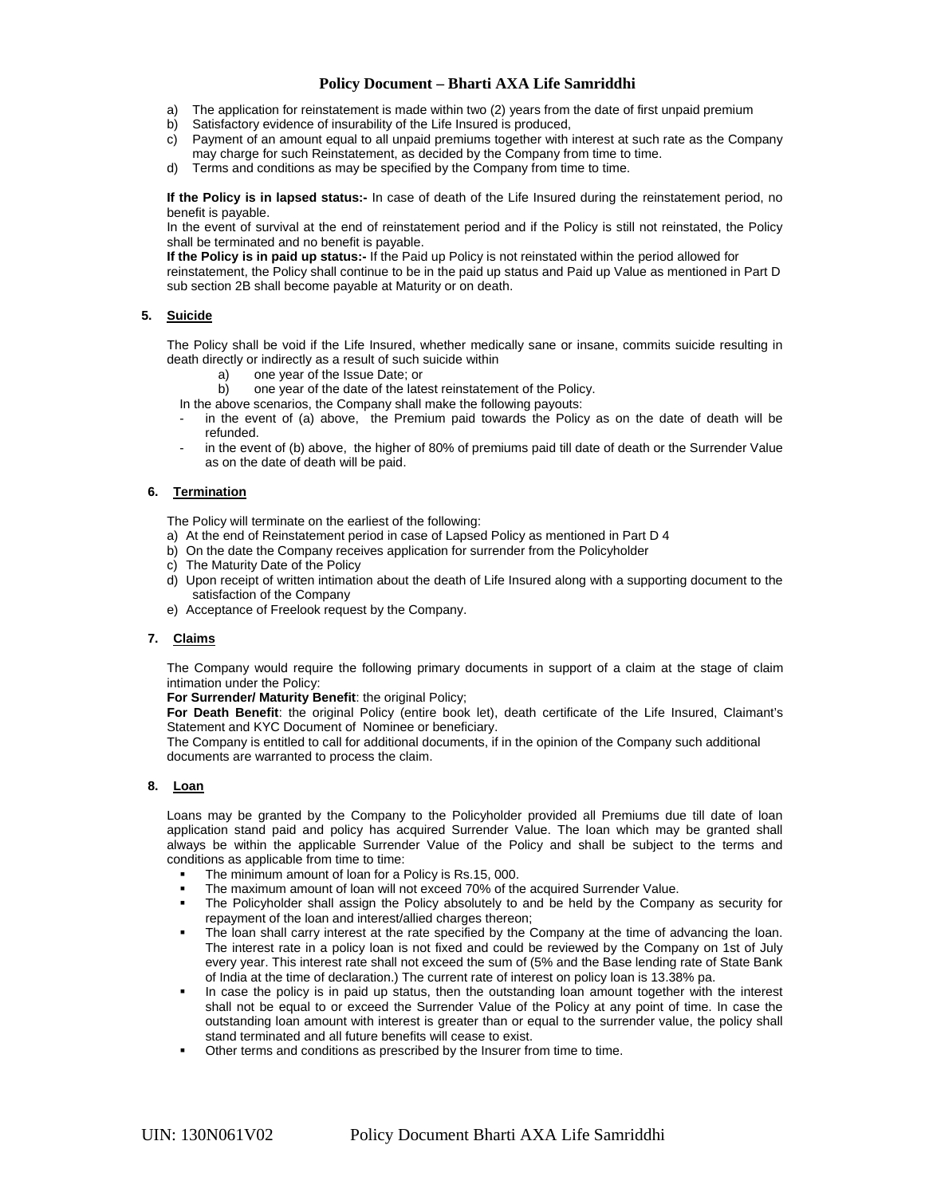- a) The application for reinstatement is made within two (2) years from the date of first unpaid premium
- b) Satisfactory evidence of insurability of the Life Insured is produced,
- c) Payment of an amount equal to all unpaid premiums together with interest at such rate as the Company may charge for such Reinstatement, as decided by the Company from time to time.
- d) Terms and conditions as may be specified by the Company from time to time.

**If the Policy is in lapsed status:-** In case of death of the Life Insured during the reinstatement period, no benefit is payable.

In the event of survival at the end of reinstatement period and if the Policy is still not reinstated, the Policy shall be terminated and no benefit is payable.

**If the Policy is in paid up status:-** If the Paid up Policy is not reinstated within the period allowed for reinstatement, the Policy shall continue to be in the paid up status and Paid up Value as mentioned in Part D sub section 2B shall become payable at Maturity or on death.

## **5. Suicide**

The Policy shall be void if the Life Insured, whether medically sane or insane, commits suicide resulting in death directly or indirectly as a result of such suicide within

- one year of the Issue Date; or
- b) one year of the date of the latest reinstatement of the Policy.

In the above scenarios, the Company shall make the following payouts:

- in the event of (a) above, the Premium paid towards the Policy as on the date of death will be refunded.
- in the event of (b) above, the higher of 80% of premiums paid till date of death or the Surrender Value as on the date of death will be paid.

## **6. Termination**

The Policy will terminate on the earliest of the following:

- a) At the end of Reinstatement period in case of Lapsed Policy as mentioned in Part D 4
- b) On the date the Company receives application for surrender from the Policyholder
- c) The Maturity Date of the Policy
- d) Upon receipt of written intimation about the death of Life Insured along with a supporting document to the satisfaction of the Company
- e) Acceptance of Freelook request by the Company.

## **7. Claims**

The Company would require the following primary documents in support of a claim at the stage of claim intimation under the Policy:

**For Surrender/ Maturity Benefit**: the original Policy;

**For Death Benefit**: the original Policy (entire book let), death certificate of the Life Insured, Claimant's Statement and KYC Document of Nominee or beneficiary.

The Company is entitled to call for additional documents, if in the opinion of the Company such additional documents are warranted to process the claim.

## **8. Loan**

Loans may be granted by the Company to the Policyholder provided all Premiums due till date of loan application stand paid and policy has acquired Surrender Value. The loan which may be granted shall always be within the applicable Surrender Value of the Policy and shall be subject to the terms and conditions as applicable from time to time:

- The minimum amount of loan for a Policy is Rs.15, 000.
- The maximum amount of loan will not exceed 70% of the acquired Surrender Value.
- The Policyholder shall assign the Policy absolutely to and be held by the Company as security for repayment of the loan and interest/allied charges thereon;
- The loan shall carry interest at the rate specified by the Company at the time of advancing the loan. The interest rate in a policy loan is not fixed and could be reviewed by the Company on 1st of July every year. This interest rate shall not exceed the sum of (5% and the Base lending rate of State Bank of India at the time of declaration.) The current rate of interest on policy loan is 13.38% pa.
- In case the policy is in paid up status, then the outstanding loan amount together with the interest shall not be equal to or exceed the Surrender Value of the Policy at any point of time. In case the outstanding loan amount with interest is greater than or equal to the surrender value, the policy shall stand terminated and all future benefits will cease to exist.
- Other terms and conditions as prescribed by the Insurer from time to time.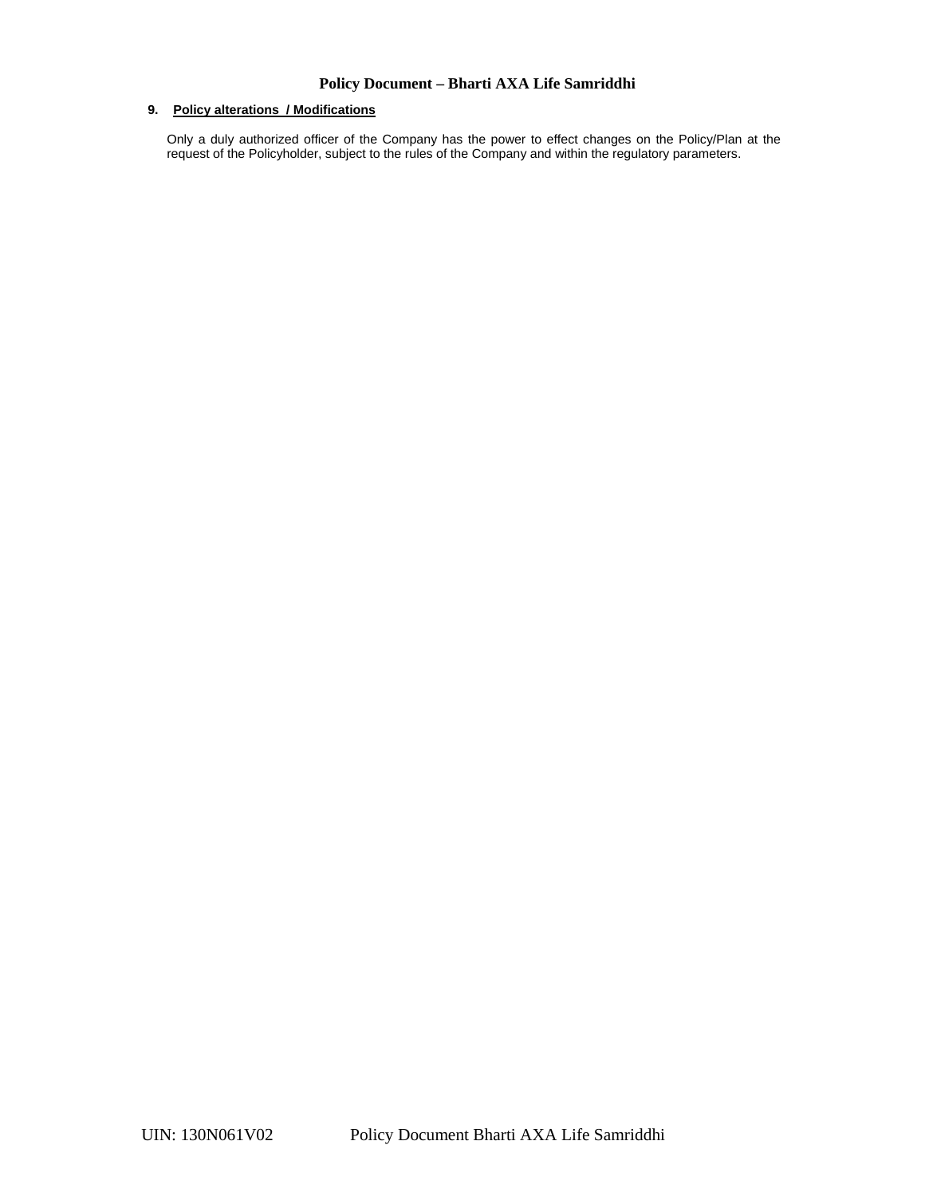## **9. Policy alterations / Modifications**

Only a duly authorized officer of the Company has the power to effect changes on the Policy/Plan at the request of the Policyholder, subject to the rules of the Company and within the regulatory parameters.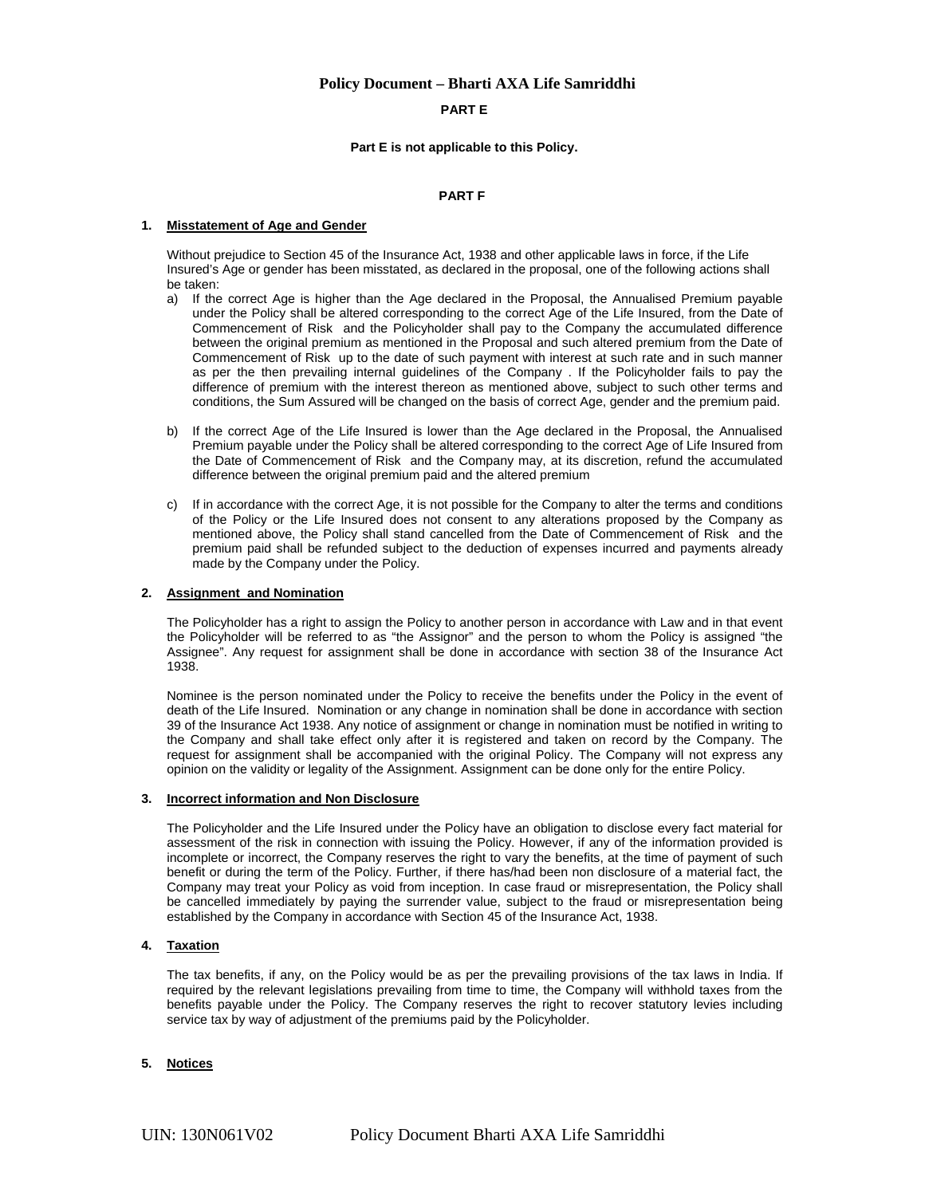### **PART E**

#### **Part E is not applicable to this Policy.**

#### **PART F**

#### **1. Misstatement of Age and Gender**

Without prejudice to Section 45 of the Insurance Act, 1938 and other applicable laws in force, if the Life Insured's Age or gender has been misstated, as declared in the proposal, one of the following actions shall be taken:

- a) If the correct Age is higher than the Age declared in the Proposal, the Annualised Premium payable under the Policy shall be altered corresponding to the correct Age of the Life Insured, from the Date of Commencement of Risk and the Policyholder shall pay to the Company the accumulated difference between the original premium as mentioned in the Proposal and such altered premium from the Date of Commencement of Risk up to the date of such payment with interest at such rate and in such manner as per the then prevailing internal guidelines of the Company . If the Policyholder fails to pay the difference of premium with the interest thereon as mentioned above, subject to such other terms and conditions, the Sum Assured will be changed on the basis of correct Age, gender and the premium paid.
- b) If the correct Age of the Life Insured is lower than the Age declared in the Proposal, the Annualised Premium payable under the Policy shall be altered corresponding to the correct Age of Life Insured from the Date of Commencement of Risk and the Company may, at its discretion, refund the accumulated difference between the original premium paid and the altered premium
- c) If in accordance with the correct Age, it is not possible for the Company to alter the terms and conditions of the Policy or the Life Insured does not consent to any alterations proposed by the Company as mentioned above, the Policy shall stand cancelled from the Date of Commencement of Risk and the premium paid shall be refunded subject to the deduction of expenses incurred and payments already made by the Company under the Policy.

### **2. Assignment and Nomination**

The Policyholder has a right to assign the Policy to another person in accordance with Law and in that event the Policyholder will be referred to as "the Assignor" and the person to whom the Policy is assigned "the Assignee". Any request for assignment shall be done in accordance with section 38 of the Insurance Act 1938.

Nominee is the person nominated under the Policy to receive the benefits under the Policy in the event of death of the Life Insured. Nomination or any change in nomination shall be done in accordance with section 39 of the Insurance Act 1938. Any notice of assignment or change in nomination must be notified in writing to the Company and shall take effect only after it is registered and taken on record by the Company. The request for assignment shall be accompanied with the original Policy. The Company will not express any opinion on the validity or legality of the Assignment. Assignment can be done only for the entire Policy.

### **3. Incorrect information and Non Disclosure**

The Policyholder and the Life Insured under the Policy have an obligation to disclose every fact material for assessment of the risk in connection with issuing the Policy. However, if any of the information provided is incomplete or incorrect, the Company reserves the right to vary the benefits, at the time of payment of such benefit or during the term of the Policy. Further, if there has/had been non disclosure of a material fact, the Company may treat your Policy as void from inception. In case fraud or misrepresentation, the Policy shall be cancelled immediately by paying the surrender value, subject to the fraud or misrepresentation being established by the Company in accordance with Section 45 of the Insurance Act, 1938.

#### **4. Taxation**

The tax benefits, if any, on the Policy would be as per the prevailing provisions of the tax laws in India. If required by the relevant legislations prevailing from time to time, the Company will withhold taxes from the benefits payable under the Policy. The Company reserves the right to recover statutory levies including service tax by way of adjustment of the premiums paid by the Policyholder.

#### **5. Notices**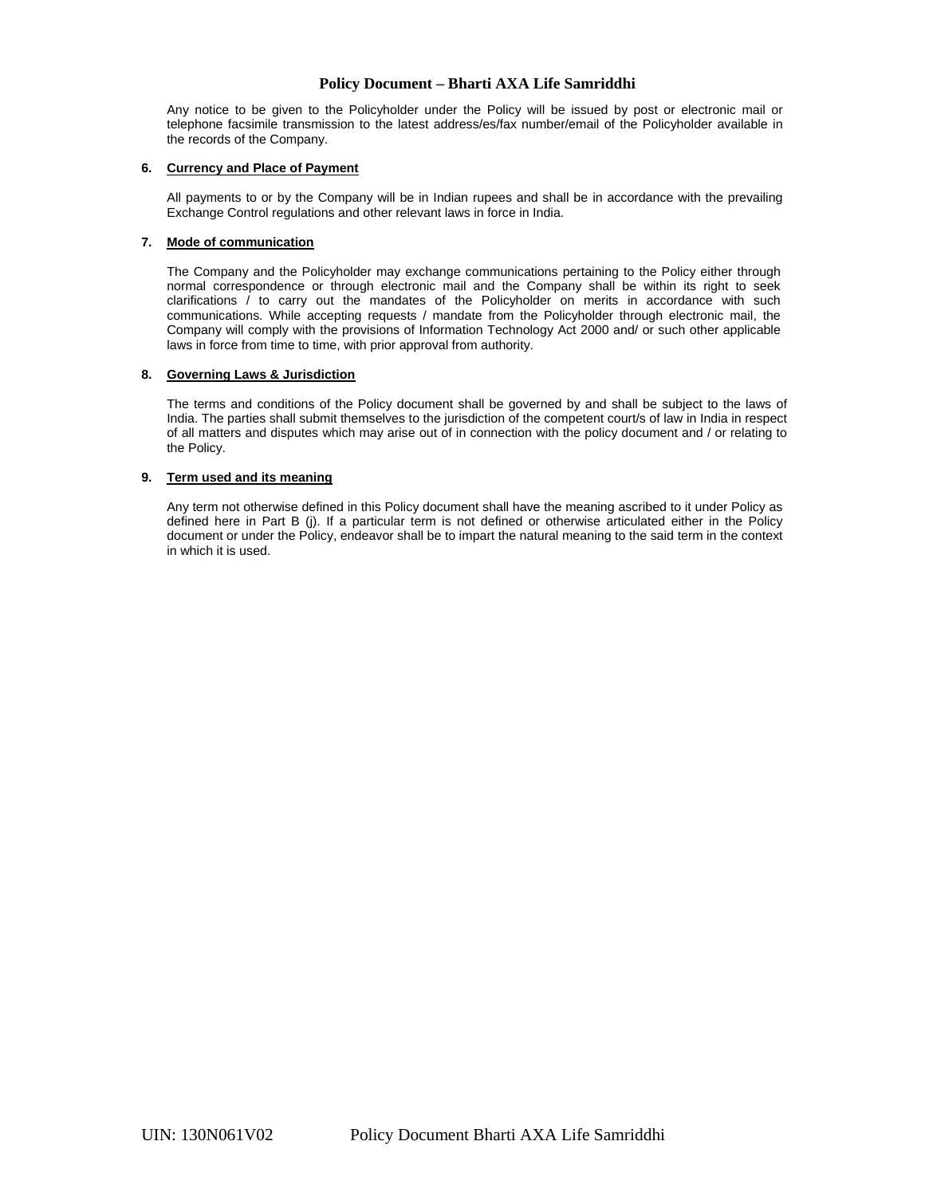Any notice to be given to the Policyholder under the Policy will be issued by post or electronic mail or telephone facsimile transmission to the latest address/es/fax number/email of the Policyholder available in the records of the Company.

### **6. Currency and Place of Payment**

All payments to or by the Company will be in Indian rupees and shall be in accordance with the prevailing Exchange Control regulations and other relevant laws in force in India.

## **7. Mode of communication**

The Company and the Policyholder may exchange communications pertaining to the Policy either through normal correspondence or through electronic mail and the Company shall be within its right to seek clarifications / to carry out the mandates of the Policyholder on merits in accordance with such communications. While accepting requests / mandate from the Policyholder through electronic mail, the Company will comply with the provisions of Information Technology Act 2000 and/ or such other applicable laws in force from time to time, with prior approval from authority.

## **8. Governing Laws & Jurisdiction**

The terms and conditions of the Policy document shall be governed by and shall be subject to the laws of India. The parties shall submit themselves to the jurisdiction of the competent court/s of law in India in respect of all matters and disputes which may arise out of in connection with the policy document and / or relating to the Policy.

## **9. Term used and its meaning**

Any term not otherwise defined in this Policy document shall have the meaning ascribed to it under Policy as defined here in Part B (j). If a particular term is not defined or otherwise articulated either in the Policy document or under the Policy, endeavor shall be to impart the natural meaning to the said term in the context in which it is used.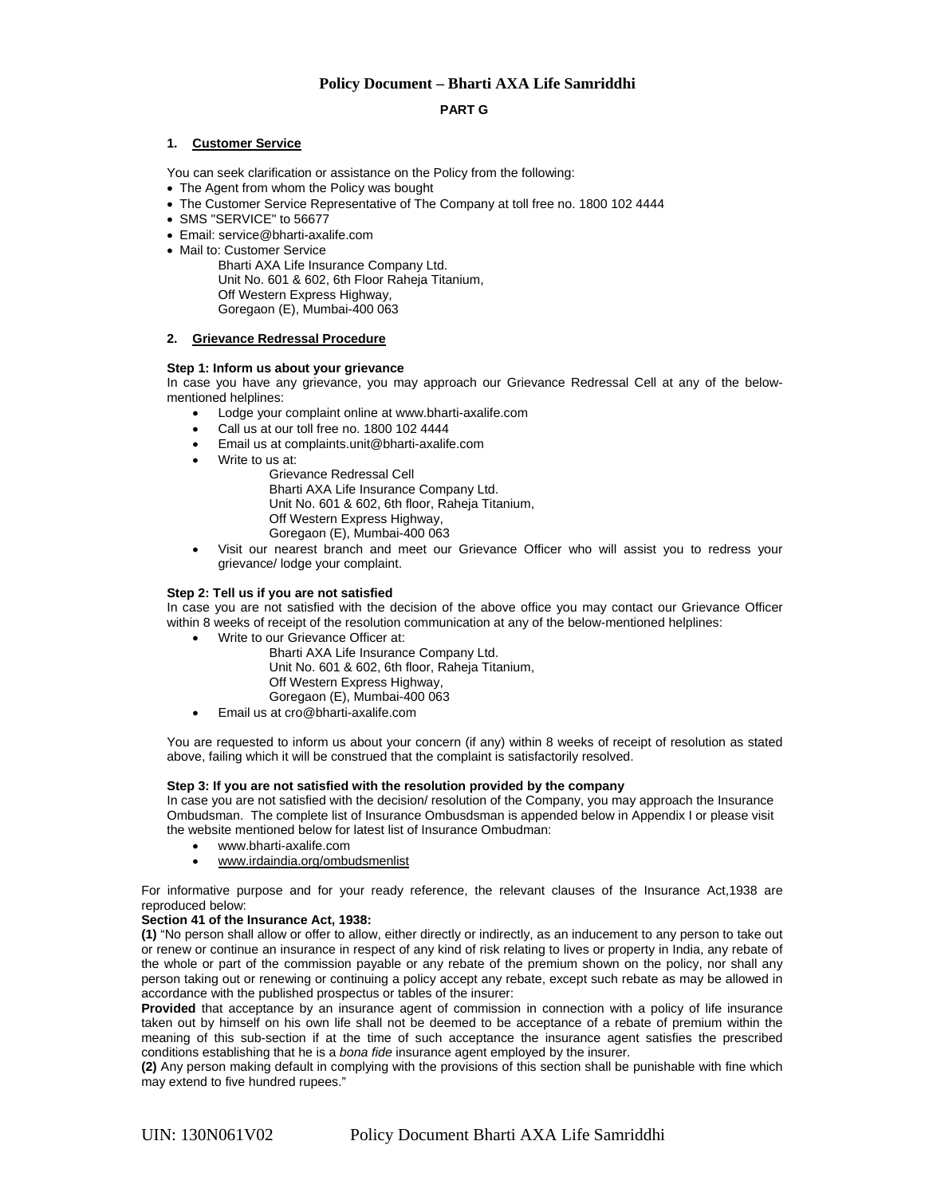### **PART G**

### **1. Customer Service**

You can seek clarification or assistance on the Policy from the following:

- The Agent from whom the Policy was bought
- The Customer Service Representative of The Company at toll free no. 1800 102 4444
- SMS "SERVICE" to 56677
- Email: service@bharti-axalife.com
- Mail to: Customer Service

Bharti AXA Life Insurance Company Ltd. Unit No. 601 & 602, 6th Floor Raheja Titanium, Off Western Express Highway, Goregaon (E), Mumbai-400 063

### **2. Grievance Redressal Procedure**

#### **Step 1: Inform us about your grievance**

In case you have any grievance, you may approach our Grievance Redressal Cell at any of the belowmentioned helplines:

- Lodge your complaint online at www.bharti-axalife.com
- Call us at our toll free no. 1800 102 4444
- Email us at complaints.unit@bharti-axalife.com
- Write to us at:
	- Grievance Redressal Cell Bharti AXA Life Insurance Company Ltd. Unit No. 601 & 602, 6th floor, Raheja Titanium, Off Western Express Highway, Goregaon (E), Mumbai-400 063
- Visit our nearest branch and meet our Grievance Officer who will assist you to redress your grievance/ lodge your complaint.

#### **Step 2: Tell us if you are not satisfied**

In case you are not satisfied with the decision of the above office you may contact our Grievance Officer within 8 weeks of receipt of the resolution communication at any of the below-mentioned helplines:

- Write to our Grievance Officer at:
	- Bharti AXA Life Insurance Company Ltd. Unit No. 601 & 602, 6th floor, Raheja Titanium, Off Western Express Highway, Goregaon (E), Mumbai-400 063
	- Email us at cro@bharti-axalife.com

You are requested to inform us about your concern (if any) within 8 weeks of receipt of resolution as stated above, failing which it will be construed that the complaint is satisfactorily resolved.

#### **Step 3: If you are not satisfied with the resolution provided by the company**

In case you are not satisfied with the decision/ resolution of the Company, you may approach the Insurance Ombudsman. The complete list of Insurance Ombusdsman is appended below in Appendix I or please visit the website mentioned below for latest list of Insurance Ombudman:

- www.bharti-axalife.com
- www.irdaindia.org/ombudsmenlist

For informative purpose and for your ready reference, the relevant clauses of the Insurance Act,1938 are reproduced below:

#### **Section 41 of the Insurance Act, 1938:**

**(1)** "No person shall allow or offer to allow, either directly or indirectly, as an inducement to any person to take out or renew or continue an insurance in respect of any kind of risk relating to lives or property in India, any rebate of the whole or part of the commission payable or any rebate of the premium shown on the policy, nor shall any person taking out or renewing or continuing a policy accept any rebate, except such rebate as may be allowed in accordance with the published prospectus or tables of the insurer:

**Provided** that acceptance by an insurance agent of commission in connection with a policy of life insurance taken out by himself on his own life shall not be deemed to be acceptance of a rebate of premium within the meaning of this sub-section if at the time of such acceptance the insurance agent satisfies the prescribed conditions establishing that he is a *bona fide* insurance agent employed by the insurer.

**(2)** Any person making default in complying with the provisions of this section shall be punishable with fine which may extend to five hundred rupees."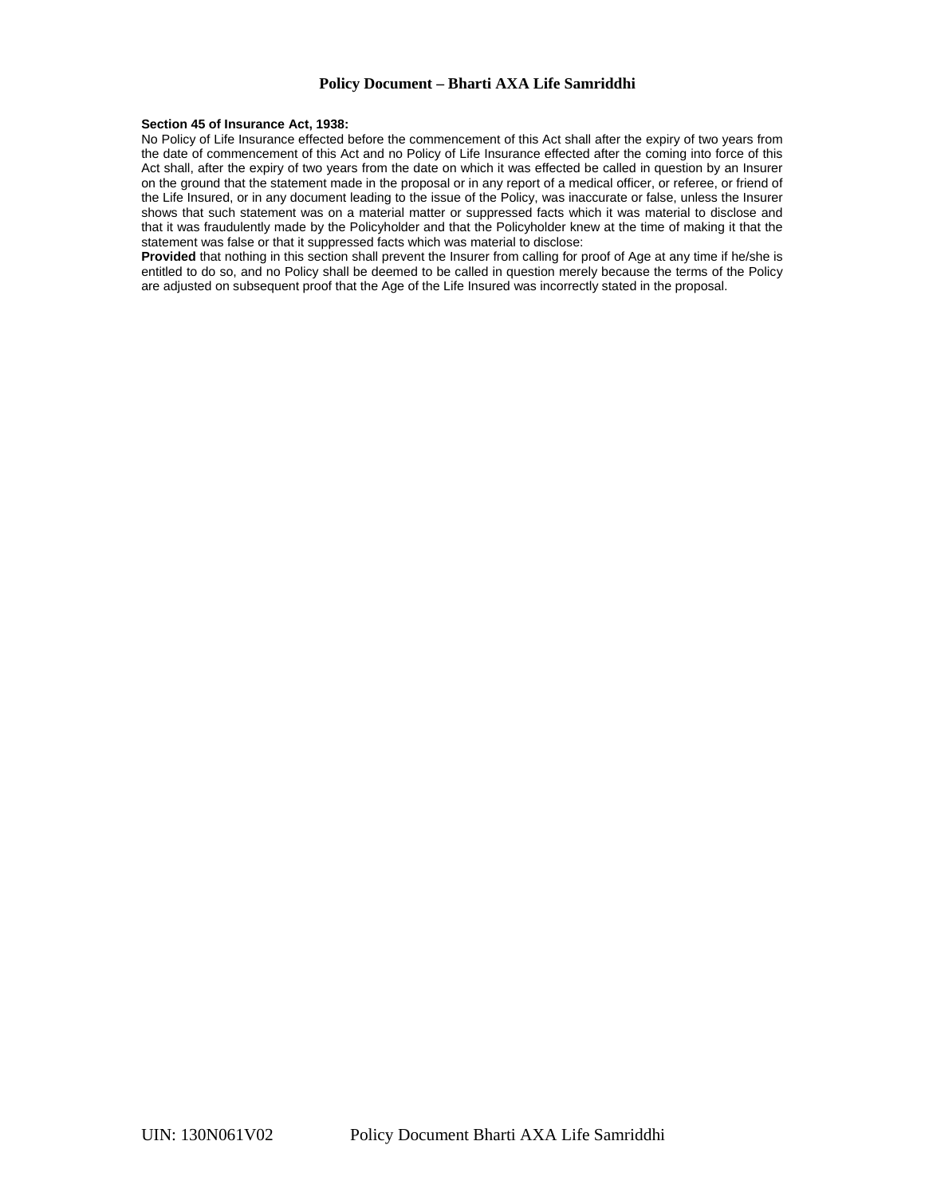#### **Section 45 of Insurance Act, 1938:**

No Policy of Life Insurance effected before the commencement of this Act shall after the expiry of two years from the date of commencement of this Act and no Policy of Life Insurance effected after the coming into force of this Act shall, after the expiry of two years from the date on which it was effected be called in question by an Insurer on the ground that the statement made in the proposal or in any report of a medical officer, or referee, or friend of the Life Insured, or in any document leading to the issue of the Policy, was inaccurate or false, unless the Insurer shows that such statement was on a material matter or suppressed facts which it was material to disclose and that it was fraudulently made by the Policyholder and that the Policyholder knew at the time of making it that the statement was false or that it suppressed facts which was material to disclose:

**Provided** that nothing in this section shall prevent the Insurer from calling for proof of Age at any time if he/she is entitled to do so, and no Policy shall be deemed to be called in question merely because the terms of the Policy are adjusted on subsequent proof that the Age of the Life Insured was incorrectly stated in the proposal.